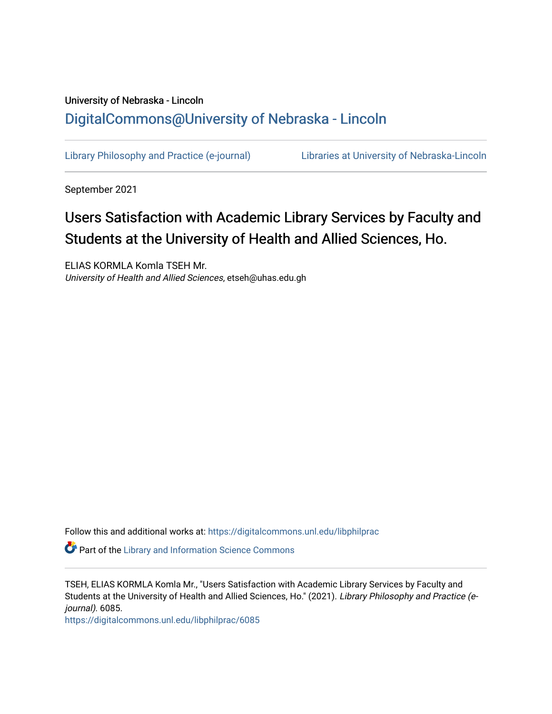# University of Nebraska - Lincoln [DigitalCommons@University of Nebraska - Lincoln](https://digitalcommons.unl.edu/)

[Library Philosophy and Practice \(e-journal\)](https://digitalcommons.unl.edu/libphilprac) [Libraries at University of Nebraska-Lincoln](https://digitalcommons.unl.edu/libraries) 

September 2021

# Users Satisfaction with Academic Library Services by Faculty and Students at the University of Health and Allied Sciences, Ho.

ELIAS KORMLA Komla TSEH Mr. University of Health and Allied Sciences, etseh@uhas.edu.gh

Follow this and additional works at: [https://digitalcommons.unl.edu/libphilprac](https://digitalcommons.unl.edu/libphilprac?utm_source=digitalcommons.unl.edu%2Flibphilprac%2F6085&utm_medium=PDF&utm_campaign=PDFCoverPages) 

Part of the [Library and Information Science Commons](http://network.bepress.com/hgg/discipline/1018?utm_source=digitalcommons.unl.edu%2Flibphilprac%2F6085&utm_medium=PDF&utm_campaign=PDFCoverPages) 

TSEH, ELIAS KORMLA Komla Mr., "Users Satisfaction with Academic Library Services by Faculty and Students at the University of Health and Allied Sciences, Ho." (2021). Library Philosophy and Practice (ejournal). 6085.

[https://digitalcommons.unl.edu/libphilprac/6085](https://digitalcommons.unl.edu/libphilprac/6085?utm_source=digitalcommons.unl.edu%2Flibphilprac%2F6085&utm_medium=PDF&utm_campaign=PDFCoverPages)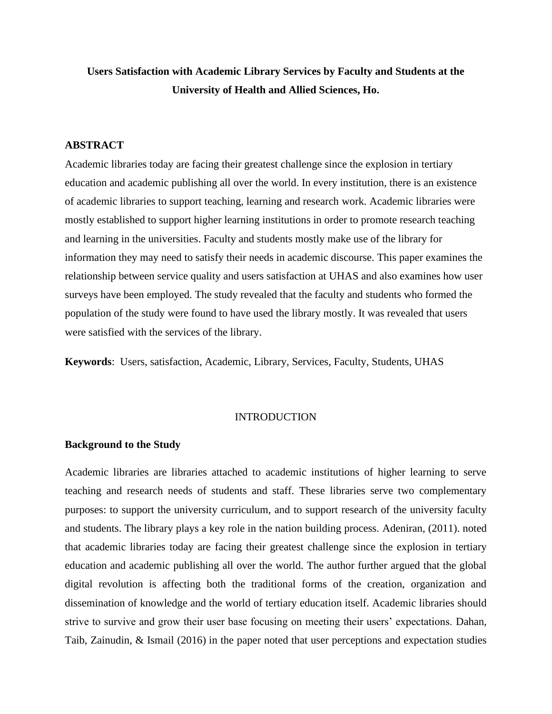# **Users Satisfaction with Academic Library Services by Faculty and Students at the University of Health and Allied Sciences, Ho.**

# **ABSTRACT**

Academic libraries today are facing their greatest challenge since the explosion in tertiary education and academic publishing all over the world. In every institution, there is an existence of academic libraries to support teaching, learning and research work. Academic libraries were mostly established to support higher learning institutions in order to promote research teaching and learning in the universities. Faculty and students mostly make use of the library for information they may need to satisfy their needs in academic discourse. This paper examines the relationship between service quality and users satisfaction at UHAS and also examines how user surveys have been employed. The study revealed that the faculty and students who formed the population of the study were found to have used the library mostly. It was revealed that users were satisfied with the services of the library.

**Keywords**: Users, satisfaction, Academic, Library, Services, Faculty, Students, UHAS

# INTRODUCTION

# **Background to the Study**

Academic libraries are libraries attached to academic institutions of higher learning to serve teaching and research needs of students and staff. These libraries serve two complementary purposes: to support the university curriculum, and to support research of the university faculty and students. The library plays a key role in the nation building process. Adeniran, (2011). noted that academic libraries today are facing their greatest challenge since the explosion in tertiary education and academic publishing all over the world. The author further argued that the global digital revolution is affecting both the traditional forms of the creation, organization and dissemination of knowledge and the world of tertiary education itself. Academic libraries should strive to survive and grow their user base focusing on meeting their users' expectations. Dahan, Taib, Zainudin, & Ismail (2016) in the paper noted that user perceptions and expectation studies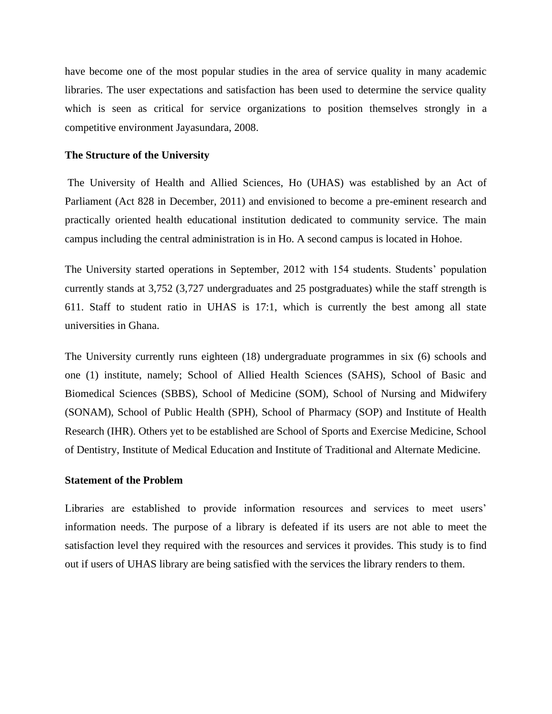have become one of the most popular studies in the area of service quality in many academic libraries. The user expectations and satisfaction has been used to determine the service quality which is seen as critical for service organizations to position themselves strongly in a competitive environment Jayasundara, 2008.

# **The Structure of the University**

The University of Health and Allied Sciences, Ho (UHAS) was established by an Act of Parliament (Act 828 in December, 2011) and envisioned to become a pre-eminent research and practically oriented health educational institution dedicated to community service. The main campus including the central administration is in Ho. A second campus is located in Hohoe.

The University started operations in September, 2012 with 154 students. Students' population currently stands at 3,752 (3,727 undergraduates and 25 postgraduates) while the staff strength is 611. Staff to student ratio in UHAS is 17:1, which is currently the best among all state universities in Ghana.

The University currently runs eighteen (18) undergraduate programmes in six (6) schools and one (1) institute, namely; School of Allied Health Sciences (SAHS), School of Basic and Biomedical Sciences (SBBS), School of Medicine (SOM), School of Nursing and Midwifery (SONAM), School of Public Health (SPH), School of Pharmacy (SOP) and Institute of Health Research (IHR). Others yet to be established are School of Sports and Exercise Medicine, School of Dentistry, Institute of Medical Education and Institute of Traditional and Alternate Medicine.

# **Statement of the Problem**

Libraries are established to provide information resources and services to meet users' information needs. The purpose of a library is defeated if its users are not able to meet the satisfaction level they required with the resources and services it provides. This study is to find out if users of UHAS library are being satisfied with the services the library renders to them.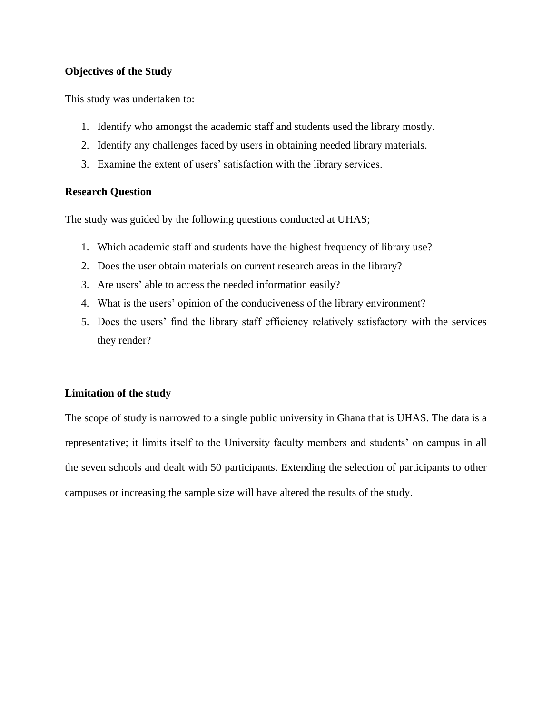# **Objectives of the Study**

This study was undertaken to:

- 1. Identify who amongst the academic staff and students used the library mostly.
- 2. Identify any challenges faced by users in obtaining needed library materials.
- 3. Examine the extent of users' satisfaction with the library services.

# **Research Question**

The study was guided by the following questions conducted at UHAS;

- 1. Which academic staff and students have the highest frequency of library use?
- 2. Does the user obtain materials on current research areas in the library?
- 3. Are users' able to access the needed information easily?
- 4. What is the users' opinion of the conduciveness of the library environment?
- 5. Does the users' find the library staff efficiency relatively satisfactory with the services they render?

# **Limitation of the study**

The scope of study is narrowed to a single public university in Ghana that is UHAS. The data is a representative; it limits itself to the University faculty members and students' on campus in all the seven schools and dealt with 50 participants. Extending the selection of participants to other campuses or increasing the sample size will have altered the results of the study.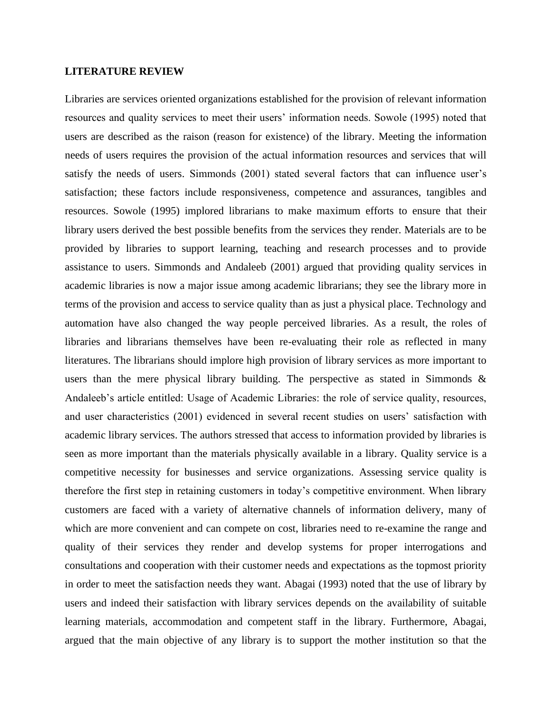#### **LITERATURE REVIEW**

Libraries are services oriented organizations established for the provision of relevant information resources and quality services to meet their users' information needs. Sowole (1995) noted that users are described as the raison (reason for existence) of the library. Meeting the information needs of users requires the provision of the actual information resources and services that will satisfy the needs of users. Simmonds (2001) stated several factors that can influence user's satisfaction; these factors include responsiveness, competence and assurances, tangibles and resources. Sowole (1995) implored librarians to make maximum efforts to ensure that their library users derived the best possible benefits from the services they render. Materials are to be provided by libraries to support learning, teaching and research processes and to provide assistance to users. Simmonds and Andaleeb (2001) argued that providing quality services in academic libraries is now a major issue among academic librarians; they see the library more in terms of the provision and access to service quality than as just a physical place. Technology and automation have also changed the way people perceived libraries. As a result, the roles of libraries and librarians themselves have been re-evaluating their role as reflected in many literatures. The librarians should implore high provision of library services as more important to users than the mere physical library building. The perspective as stated in Simmonds  $\&$ Andaleeb's article entitled: Usage of Academic Libraries: the role of service quality, resources, and user characteristics (2001) evidenced in several recent studies on users' satisfaction with academic library services. The authors stressed that access to information provided by libraries is seen as more important than the materials physically available in a library. Quality service is a competitive necessity for businesses and service organizations. Assessing service quality is therefore the first step in retaining customers in today's competitive environment. When library customers are faced with a variety of alternative channels of information delivery, many of which are more convenient and can compete on cost, libraries need to re-examine the range and quality of their services they render and develop systems for proper interrogations and consultations and cooperation with their customer needs and expectations as the topmost priority in order to meet the satisfaction needs they want. Abagai (1993) noted that the use of library by users and indeed their satisfaction with library services depends on the availability of suitable learning materials, accommodation and competent staff in the library. Furthermore, Abagai, argued that the main objective of any library is to support the mother institution so that the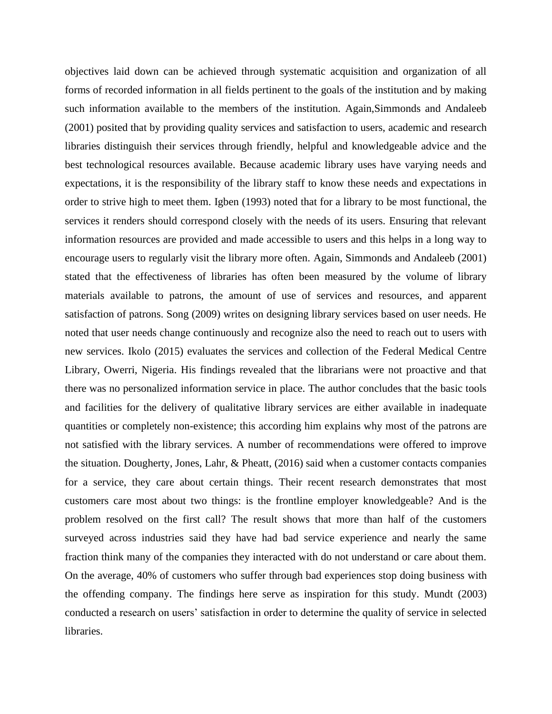objectives laid down can be achieved through systematic acquisition and organization of all forms of recorded information in all fields pertinent to the goals of the institution and by making such information available to the members of the institution. Again,Simmonds and Andaleeb (2001) posited that by providing quality services and satisfaction to users, academic and research libraries distinguish their services through friendly, helpful and knowledgeable advice and the best technological resources available. Because academic library uses have varying needs and expectations, it is the responsibility of the library staff to know these needs and expectations in order to strive high to meet them. Igben (1993) noted that for a library to be most functional, the services it renders should correspond closely with the needs of its users. Ensuring that relevant information resources are provided and made accessible to users and this helps in a long way to encourage users to regularly visit the library more often. Again, Simmonds and Andaleeb (2001) stated that the effectiveness of libraries has often been measured by the volume of library materials available to patrons, the amount of use of services and resources, and apparent satisfaction of patrons. Song (2009) writes on designing library services based on user needs. He noted that user needs change continuously and recognize also the need to reach out to users with new services. Ikolo (2015) evaluates the services and collection of the Federal Medical Centre Library, Owerri, Nigeria. His findings revealed that the librarians were not proactive and that there was no personalized information service in place. The author concludes that the basic tools and facilities for the delivery of qualitative library services are either available in inadequate quantities or completely non-existence; this according him explains why most of the patrons are not satisfied with the library services. A number of recommendations were offered to improve the situation. Dougherty, Jones, Lahr, & Pheatt, (2016) said when a customer contacts companies for a service, they care about certain things. Their recent research demonstrates that most customers care most about two things: is the frontline employer knowledgeable? And is the problem resolved on the first call? The result shows that more than half of the customers surveyed across industries said they have had bad service experience and nearly the same fraction think many of the companies they interacted with do not understand or care about them. On the average, 40% of customers who suffer through bad experiences stop doing business with the offending company. The findings here serve as inspiration for this study. Mundt (2003) conducted a research on users' satisfaction in order to determine the quality of service in selected libraries.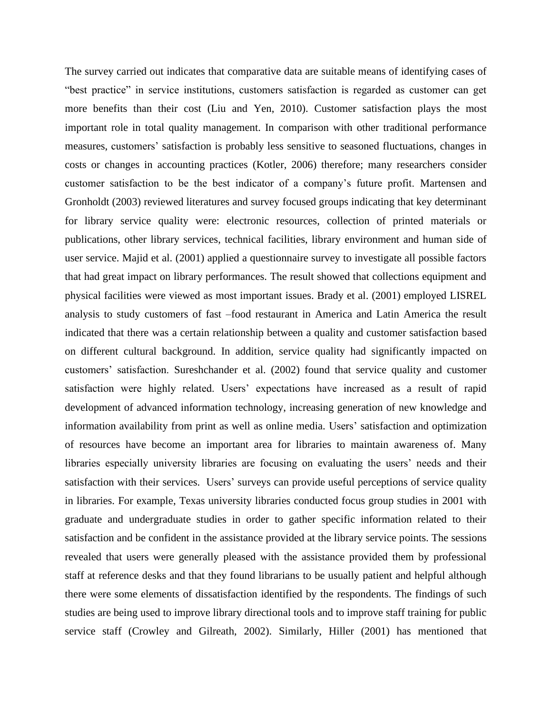The survey carried out indicates that comparative data are suitable means of identifying cases of "best practice" in service institutions, customers satisfaction is regarded as customer can get more benefits than their cost (Liu and Yen, 2010). Customer satisfaction plays the most important role in total quality management. In comparison with other traditional performance measures, customers' satisfaction is probably less sensitive to seasoned fluctuations, changes in costs or changes in accounting practices (Kotler, 2006) therefore; many researchers consider customer satisfaction to be the best indicator of a company's future profit. Martensen and Gronholdt (2003) reviewed literatures and survey focused groups indicating that key determinant for library service quality were: electronic resources, collection of printed materials or publications, other library services, technical facilities, library environment and human side of user service. Majid et al. (2001) applied a questionnaire survey to investigate all possible factors that had great impact on library performances. The result showed that collections equipment and physical facilities were viewed as most important issues. Brady et al. (2001) employed LISREL analysis to study customers of fast –food restaurant in America and Latin America the result indicated that there was a certain relationship between a quality and customer satisfaction based on different cultural background. In addition, service quality had significantly impacted on customers' satisfaction. Sureshchander et al. (2002) found that service quality and customer satisfaction were highly related. Users' expectations have increased as a result of rapid development of advanced information technology, increasing generation of new knowledge and information availability from print as well as online media. Users' satisfaction and optimization of resources have become an important area for libraries to maintain awareness of. Many libraries especially university libraries are focusing on evaluating the users' needs and their satisfaction with their services. Users' surveys can provide useful perceptions of service quality in libraries. For example, Texas university libraries conducted focus group studies in 2001 with graduate and undergraduate studies in order to gather specific information related to their satisfaction and be confident in the assistance provided at the library service points. The sessions revealed that users were generally pleased with the assistance provided them by professional staff at reference desks and that they found librarians to be usually patient and helpful although there were some elements of dissatisfaction identified by the respondents. The findings of such studies are being used to improve library directional tools and to improve staff training for public service staff (Crowley and Gilreath, 2002). Similarly, Hiller (2001) has mentioned that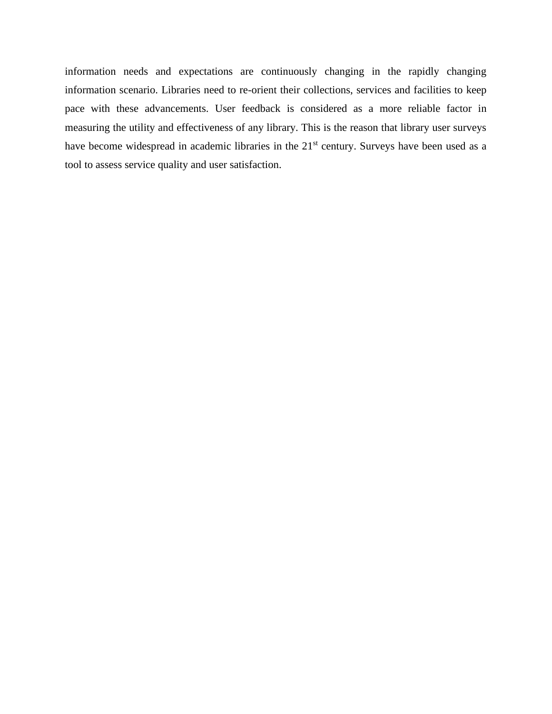information needs and expectations are continuously changing in the rapidly changing information scenario. Libraries need to re-orient their collections, services and facilities to keep pace with these advancements. User feedback is considered as a more reliable factor in measuring the utility and effectiveness of any library. This is the reason that library user surveys have become widespread in academic libraries in the 21<sup>st</sup> century. Surveys have been used as a tool to assess service quality and user satisfaction.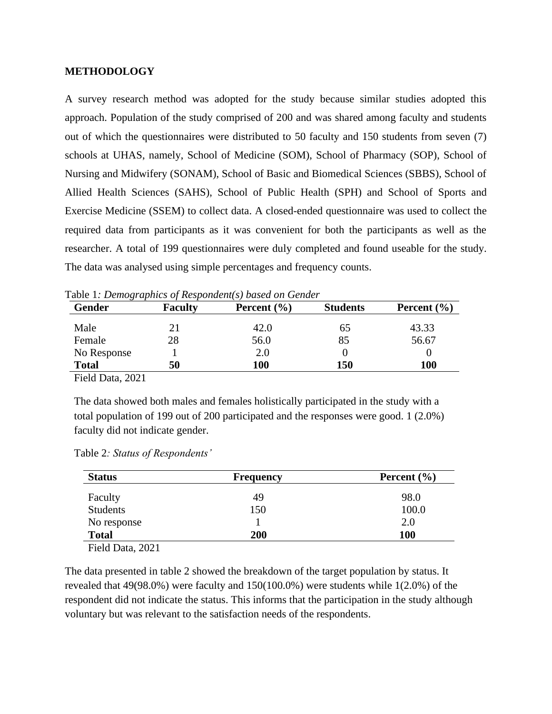# **METHODOLOGY**

A survey research method was adopted for the study because similar studies adopted this approach. Population of the study comprised of 200 and was shared among faculty and students out of which the questionnaires were distributed to 50 faculty and 150 students from seven (7) schools at UHAS, namely, School of Medicine (SOM), School of Pharmacy (SOP), School of Nursing and Midwifery (SONAM), School of Basic and Biomedical Sciences (SBBS), School of Allied Health Sciences (SAHS), School of Public Health (SPH) and School of Sports and Exercise Medicine (SSEM) to collect data. A closed-ended questionnaire was used to collect the required data from participants as it was convenient for both the participants as well as the researcher. A total of 199 questionnaires were duly completed and found useable for the study. The data was analysed using simple percentages and frequency counts.

| Gender                                                       | <b>Faculty</b> | Percent $(\% )$ | <b>Students</b> | Percent $(\% )$ |
|--------------------------------------------------------------|----------------|-----------------|-----------------|-----------------|
| Male                                                         | 21             | 42.0            | 65              | 43.33           |
| Female                                                       | 28             | 56.0            | 85              | 56.67           |
| No Response                                                  |                | 2.0             |                 |                 |
| <b>Total</b>                                                 | 50             | 100             | 150             | <b>100</b>      |
| $\mathbf{m}$ iin $\mathbf{m}$<br>$\sim$ $\sim$ $\sim$ $\sim$ |                |                 |                 |                 |

| Table 1: Demographics of Respondent(s) based on Gender |  |  |
|--------------------------------------------------------|--|--|
|--------------------------------------------------------|--|--|

Field Data, 2021

The data showed both males and females holistically participated in the study with a total population of 199 out of 200 participated and the responses were good. 1 (2.0%) faculty did not indicate gender.

|  |  |  | Table 2: Status of Respondents' |
|--|--|--|---------------------------------|
|--|--|--|---------------------------------|

| <b>Status</b>   | <b>Frequency</b> | Percent $(\% )$ |  |
|-----------------|------------------|-----------------|--|
| Faculty         | 49               | 98.0            |  |
| <b>Students</b> | 150              | 100.0           |  |
| No response     |                  | 2.0             |  |
| <b>Total</b>    | 200              | <b>100</b>      |  |

Field Data, 2021

The data presented in table 2 showed the breakdown of the target population by status. It revealed that 49(98.0%) were faculty and 150(100.0%) were students while 1(2.0%) of the respondent did not indicate the status. This informs that the participation in the study although voluntary but was relevant to the satisfaction needs of the respondents.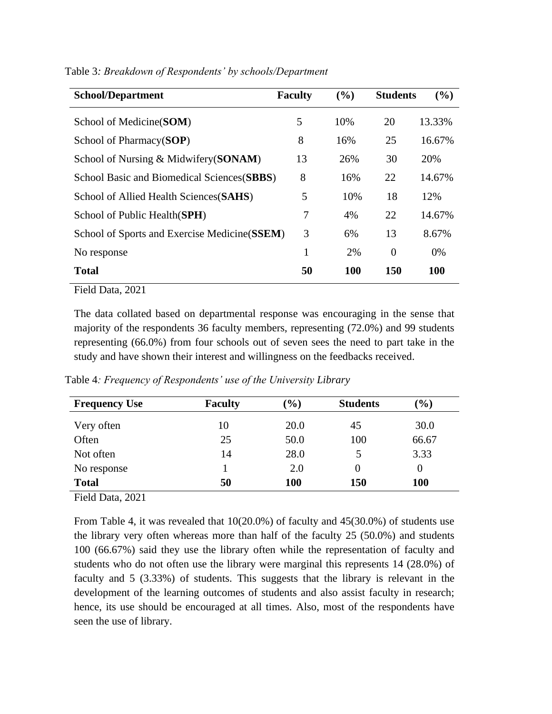| <b>School/Department</b>                      | <b>Faculty</b> | (%)        | <b>Students</b> | $($ %)     |
|-----------------------------------------------|----------------|------------|-----------------|------------|
| School of Medicine (SOM)                      | 5              | 10%        | 20              | 13.33%     |
| School of Pharmacy(SOP)                       | 8              | 16%        | 25              | 16.67%     |
| School of Nursing & Midwifery(SONAM)          | 13             | 26%        | 30              | 20%        |
| School Basic and Biomedical Sciences (SBBS)   | 8              | 16%        | 22              | 14.67%     |
| School of Allied Health Sciences (SAHS)       | 5              | 10%        | 18              | 12%        |
| School of Public Health(SPH)                  | 7              | 4%         | 22              | 14.67%     |
| School of Sports and Exercise Medicine (SSEM) | 3              | 6%         | 13              | 8.67%      |
| No response                                   | 1              | 2%         | $\Omega$        | $0\%$      |
| <b>Total</b>                                  | 50             | <b>100</b> | 150             | <b>100</b> |

Table 3*: Breakdown of Respondents' by schools/Department*

Field Data, 2021

The data collated based on departmental response was encouraging in the sense that majority of the respondents 36 faculty members, representing (72.0%) and 99 students representing (66.0%) from four schools out of seven sees the need to part take in the study and have shown their interest and willingness on the feedbacks received.

| <b>Frequency Use</b> | <b>Faculty</b> | $\mathcal{O}(6)$ | <b>Students</b> | $\frac{9}{6}$ |
|----------------------|----------------|------------------|-----------------|---------------|
| Very often           | 10             | 20.0             | 45              | 30.0          |
| Often                | 25             | 50.0             | 100             | 66.67         |
| Not often            | 14             | 28.0             | 5               | 3.33          |
| No response          |                | 2.0              | $\theta$        | $\theta$      |
| <b>Total</b>         | 50             | 100              | 150             | <b>100</b>    |

Table 4*: Frequency of Respondents' use of the University Library*

Field Data, 2021

From Table 4, it was revealed that 10(20.0%) of faculty and 45(30.0%) of students use the library very often whereas more than half of the faculty 25 (50.0%) and students 100 (66.67%) said they use the library often while the representation of faculty and students who do not often use the library were marginal this represents 14 (28.0%) of faculty and 5 (3.33%) of students. This suggests that the library is relevant in the development of the learning outcomes of students and also assist faculty in research; hence, its use should be encouraged at all times. Also, most of the respondents have seen the use of library.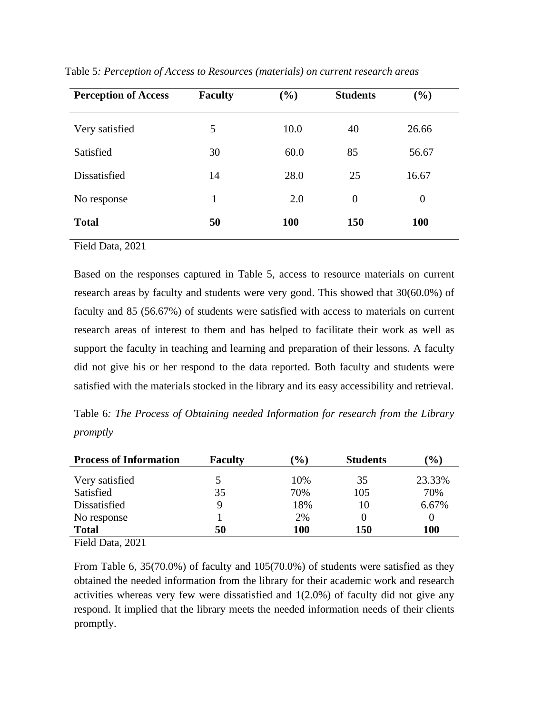| <b>Perception of Access</b> | <b>Faculty</b> | (%)        | <b>Students</b> | (%)        |
|-----------------------------|----------------|------------|-----------------|------------|
| Very satisfied              | 5              | 10.0       | 40              | 26.66      |
| Satisfied                   | 30             | 60.0       | 85              | 56.67      |
| Dissatisfied                | 14             | 28.0       | 25              | 16.67      |
| No response                 | 1              | 2.0        | $\overline{0}$  | $\theta$   |
| <b>Total</b>                | 50             | <b>100</b> | <b>150</b>      | <b>100</b> |

Table 5*: Perception of Access to Resources (materials) on current research areas*

Field Data, 2021

Based on the responses captured in Table 5, access to resource materials on current research areas by faculty and students were very good. This showed that 30(60.0%) of faculty and 85 (56.67%) of students were satisfied with access to materials on current research areas of interest to them and has helped to facilitate their work as well as support the faculty in teaching and learning and preparation of their lessons. A faculty did not give his or her respond to the data reported. Both faculty and students were satisfied with the materials stocked in the library and its easy accessibility and retrieval.

Table 6*: The Process of Obtaining needed Information for research from the Library promptly*

| <b>Process of Information</b> | <b>Faculty</b> | $\mathcal{O}_\mathbf{0}$ | <b>Students</b> | $\mathcal{O}(6)$ |
|-------------------------------|----------------|--------------------------|-----------------|------------------|
| Very satisfied                |                | 10%                      | 35              | 23.33%           |
| Satisfied                     | 35             | 70%                      | 105             | 70%              |
| Dissatisfied                  | 9              | 18%                      | 10              | 6.67%            |
| No response                   |                | 2%                       |                 |                  |
| <b>Total</b>                  | 50             | 100                      | 150             | <b>100</b>       |

Field Data, 2021

From Table 6, 35(70.0%) of faculty and 105(70.0%) of students were satisfied as they obtained the needed information from the library for their academic work and research activities whereas very few were dissatisfied and 1(2.0%) of faculty did not give any respond. It implied that the library meets the needed information needs of their clients promptly.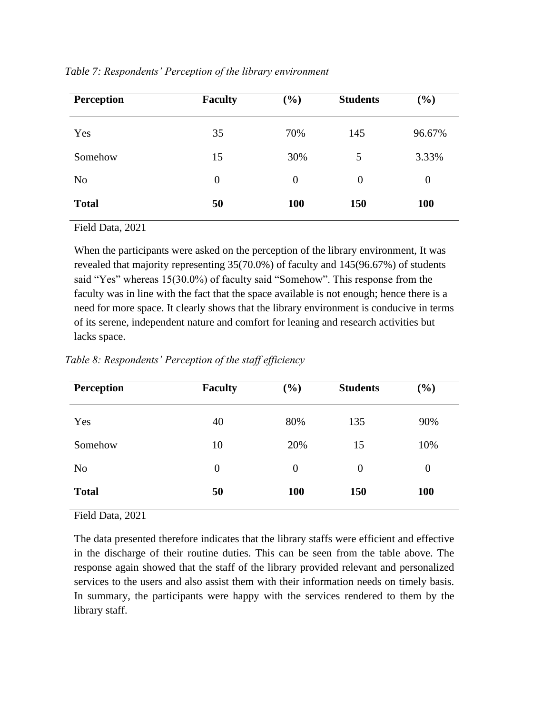| <b>Perception</b> | <b>Faculty</b> | $(\%)$     | <b>Students</b> | $(\%)$     |
|-------------------|----------------|------------|-----------------|------------|
| Yes               | 35             | 70%        | 145             | 96.67%     |
| Somehow           | 15             | 30%        | 5               | 3.33%      |
| N <sub>0</sub>    | $\overline{0}$ | $\theta$   | 0               | $\theta$   |
| <b>Total</b>      | 50             | <b>100</b> | 150             | <b>100</b> |

*Table 7: Respondents' Perception of the library environment*

Field Data, 2021

When the participants were asked on the perception of the library environment, It was revealed that majority representing 35(70.0%) of faculty and 145(96.67%) of students said "Yes" whereas 15(30.0%) of faculty said "Somehow". This response from the faculty was in line with the fact that the space available is not enough; hence there is a need for more space. It clearly shows that the library environment is conducive in terms of its serene, independent nature and comfort for leaning and research activities but lacks space.

| <b>Perception</b> | <b>Faculty</b> | $(\%)$         | <b>Students</b> | $(\%)$           |
|-------------------|----------------|----------------|-----------------|------------------|
| Yes               | 40             | 80%            | 135             | 90%              |
| Somehow           | 10             | 20%            | 15              | 10%              |
| N <sub>o</sub>    | $\overline{0}$ | $\overline{0}$ | $\overline{0}$  | $\boldsymbol{0}$ |
| <b>Total</b>      | 50             | <b>100</b>     | 150             | <b>100</b>       |

*Table 8: Respondents' Perception of the staff efficiency* 

Field Data, 2021

The data presented therefore indicates that the library staffs were efficient and effective in the discharge of their routine duties. This can be seen from the table above. The response again showed that the staff of the library provided relevant and personalized services to the users and also assist them with their information needs on timely basis. In summary, the participants were happy with the services rendered to them by the library staff.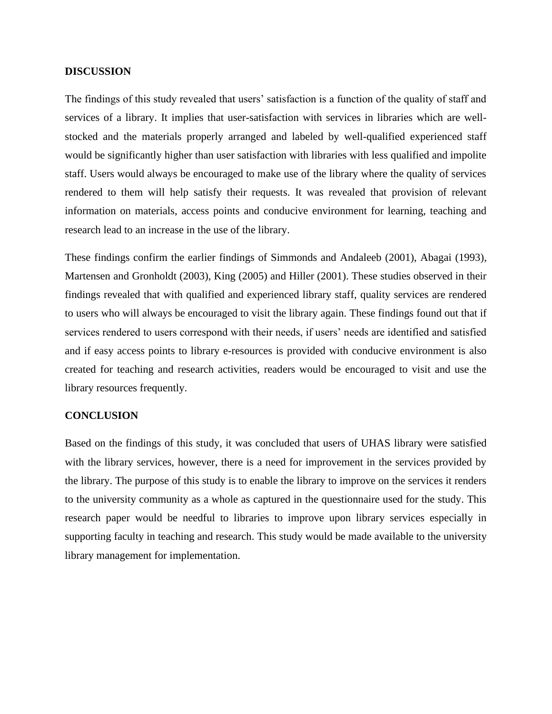# **DISCUSSION**

The findings of this study revealed that users' satisfaction is a function of the quality of staff and services of a library. It implies that user-satisfaction with services in libraries which are wellstocked and the materials properly arranged and labeled by well-qualified experienced staff would be significantly higher than user satisfaction with libraries with less qualified and impolite staff. Users would always be encouraged to make use of the library where the quality of services rendered to them will help satisfy their requests. It was revealed that provision of relevant information on materials, access points and conducive environment for learning, teaching and research lead to an increase in the use of the library.

These findings confirm the earlier findings of Simmonds and Andaleeb (2001), Abagai (1993), Martensen and Gronholdt (2003), King (2005) and Hiller (2001). These studies observed in their findings revealed that with qualified and experienced library staff, quality services are rendered to users who will always be encouraged to visit the library again. These findings found out that if services rendered to users correspond with their needs, if users' needs are identified and satisfied and if easy access points to library e-resources is provided with conducive environment is also created for teaching and research activities, readers would be encouraged to visit and use the library resources frequently.

# **CONCLUSION**

Based on the findings of this study, it was concluded that users of UHAS library were satisfied with the library services, however, there is a need for improvement in the services provided by the library. The purpose of this study is to enable the library to improve on the services it renders to the university community as a whole as captured in the questionnaire used for the study. This research paper would be needful to libraries to improve upon library services especially in supporting faculty in teaching and research. This study would be made available to the university library management for implementation.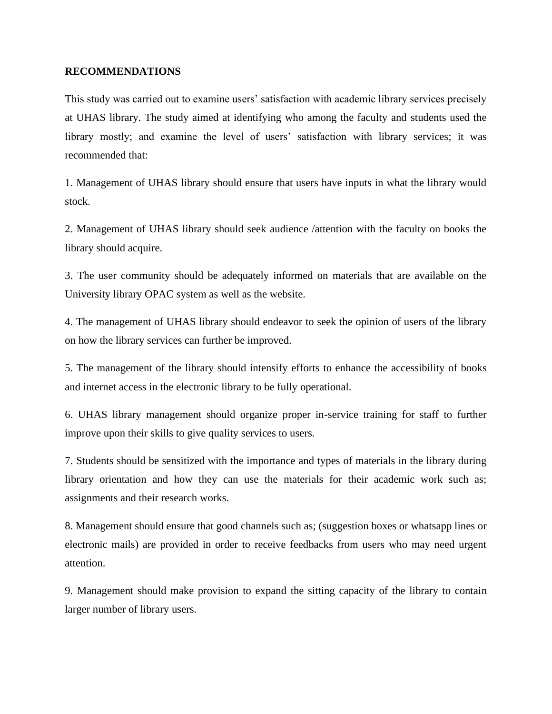# **RECOMMENDATIONS**

This study was carried out to examine users' satisfaction with academic library services precisely at UHAS library. The study aimed at identifying who among the faculty and students used the library mostly; and examine the level of users' satisfaction with library services; it was recommended that:

1. Management of UHAS library should ensure that users have inputs in what the library would stock.

2. Management of UHAS library should seek audience /attention with the faculty on books the library should acquire.

3. The user community should be adequately informed on materials that are available on the University library OPAC system as well as the website.

4. The management of UHAS library should endeavor to seek the opinion of users of the library on how the library services can further be improved.

5. The management of the library should intensify efforts to enhance the accessibility of books and internet access in the electronic library to be fully operational.

6. UHAS library management should organize proper in-service training for staff to further improve upon their skills to give quality services to users.

7. Students should be sensitized with the importance and types of materials in the library during library orientation and how they can use the materials for their academic work such as; assignments and their research works.

8. Management should ensure that good channels such as; (suggestion boxes or whatsapp lines or electronic mails) are provided in order to receive feedbacks from users who may need urgent attention.

9. Management should make provision to expand the sitting capacity of the library to contain larger number of library users.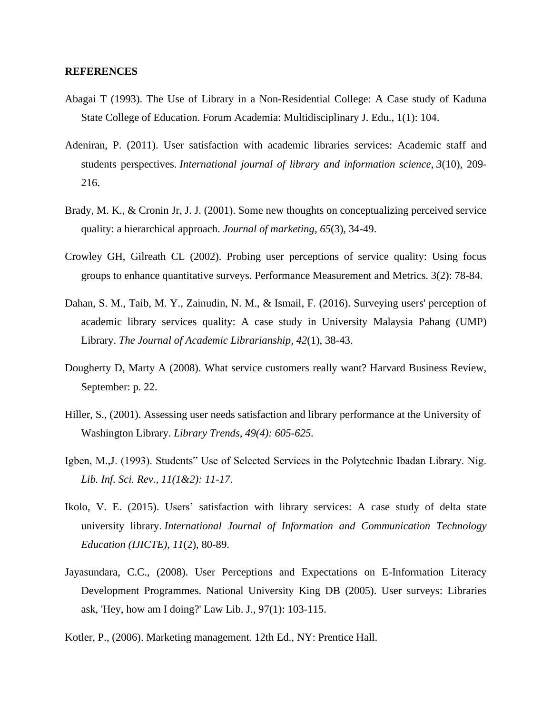## **REFERENCES**

- Abagai T (1993). The Use of Library in a Non-Residential College: A Case study of Kaduna State College of Education. Forum Academia: Multidisciplinary J. Edu., 1(1): 104.
- Adeniran, P. (2011). User satisfaction with academic libraries services: Academic staff and students perspectives. *International journal of library and information science*, *3*(10), 209- 216.
- Brady, M. K., & Cronin Jr, J. J. (2001). Some new thoughts on conceptualizing perceived service quality: a hierarchical approach. *Journal of marketing*, *65*(3), 34-49.
- Crowley GH, Gilreath CL (2002). Probing user perceptions of service quality: Using focus groups to enhance quantitative surveys. Performance Measurement and Metrics. 3(2): 78-84.
- Dahan, S. M., Taib, M. Y., Zainudin, N. M., & Ismail, F. (2016). Surveying users' perception of academic library services quality: A case study in University Malaysia Pahang (UMP) Library. *The Journal of Academic Librarianship*, *42*(1), 38-43.
- Dougherty D, Marty A (2008). What service customers really want? Harvard Business Review, September: p. 22.
- Hiller, S., (2001). Assessing user needs satisfaction and library performance at the University of Washington Library. *Library Trends, 49(4): 605-625.*
- Igben, M.,J. (1993). Students" Use of Selected Services in the Polytechnic Ibadan Library. Nig. *Lib. Inf. Sci. Rev., 11(1&2): 11-17*.
- Ikolo, V. E. (2015). Users' satisfaction with library services: A case study of delta state university library. *International Journal of Information and Communication Technology Education (IJICTE)*, *11*(2), 80-89.
- Jayasundara, C.C., (2008). User Perceptions and Expectations on E-Information Literacy Development Programmes. National University King DB (2005). User surveys: Libraries ask, 'Hey, how am I doing?' Law Lib. J., 97(1): 103-115.
- Kotler, P., (2006). Marketing management. 12th Ed., NY: Prentice Hall.